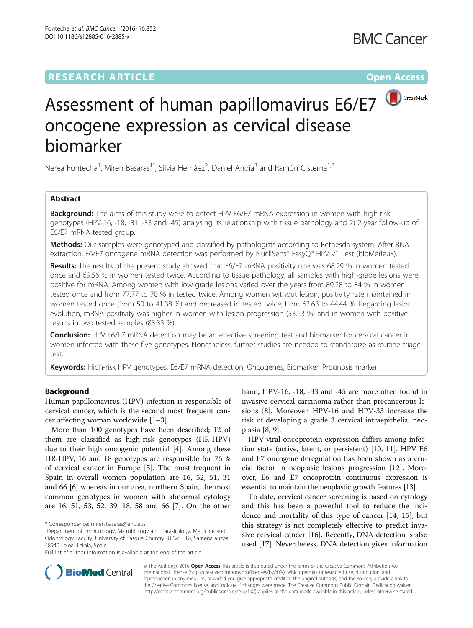## **RESEARCH ARTICLE External Structure Community Community Community Community Community Community Community Community**



# Assessment of human papillomavirus E6/E7 oncogene expression as cervical disease biomarker

Nerea Fontecha<sup>1</sup>, Miren Basaras<sup>1\*</sup>, Silvia Hernáez<sup>2</sup>, Daniel Andía<sup>3</sup> and Ramón Cisterna<sup>1,2</sup>

### Abstract

**Background:** The aims of this study were to detect HPV E6/E7 mRNA expression in women with high-risk genotypes (HPV-16, -18, -31, -33 and -45) analysing its relationship with tissue pathology and 2) 2-year follow-up of E6/E7 mRNA tested group.

Methods: Our samples were genotyped and classified by pathologists according to Bethesda system. After RNA extraction, E6/E7 oncogene mRNA detection was performed by NucliSens® EasyQ® HPV v1 Test (bioMérieux).

Results: The results of the present study showed that E6/E7 mRNA positivity rate was 68.29 % in women tested once and 69.56 % in women tested twice. According to tissue pathology, all samples with high-grade lesions were positive for mRNA. Among women with low-grade lesions varied over the years from 89.28 to 84 % in women tested once and from 77.77 to 70 % in tested twice. Among women without lesion, positivity rate maintained in women tested once (from 50 to 41.38 %) and decreased in tested twice, from 63.63 to 44.44 %. Regarding lesion evolution, mRNA positivity was higher in women with lesion progression (53.13 %) and in women with positive results in two tested samples (83.33 %).

**Conclusion:** HPV E6/E7 mRNA detection may be an effective screening test and biomarker for cervical cancer in women infected with these five genotypes. Nonetheless, further studies are needed to standardize as routine triage test.

Keywords: High-risk HPV genotypes, E6/E7 mRNA detection, Oncogenes, Biomarker, Prognosis marker

#### Background

Human papillomavirus (HPV) infection is responsible of cervical cancer, which is the second most frequent cancer affecting woman worldwide [\[1](#page-6-0)–[3](#page-6-0)].

More than 100 genotypes have been described; 12 of them are classified as high-risk genotypes (HR-HPV) due to their high oncogenic potential [\[4\]](#page-6-0). Among these HR-HPV, 16 and 18 genotypes are responsible for 76 % of cervical cancer in Europe [\[5](#page-6-0)]. The most frequent in Spain in overall women population are 16, 52, 51, 31 and 66 [[6\]](#page-6-0) whereas in our area, northern Spain, the most common genotypes in women with abnormal cytology are 16, 51, 53, 52, 39, 18, 58 and 66 [\[7](#page-6-0)]. On the other

hand, HPV-16, -18, -33 and -45 are more often found in invasive cervical carcinoma rather than precancerous lesions [[8\]](#page-6-0). Moreover, HPV-16 and HPV-33 increase the risk of developing a grade 3 cervical intraepithelial neoplasia [[8, 9\]](#page-6-0).

HPV viral oncoprotein expression differs among infection state (active, latent, or persistent) [\[10](#page-6-0), [11\]](#page-6-0). HPV E6 and E7 oncogene deregulation has been shown as a crucial factor in neoplasic lesions progression [[12\]](#page-6-0). Moreover, E6 and E7 oncoprotein continuous expression is essential to maintain the neoplastic growth features [\[13\]](#page-6-0).

To date, cervical cancer screening is based on cytology and this has been a powerful tool to reduce the incidence and mortality of this type of cancer [\[14, 15\]](#page-6-0), but this strategy is not completely effective to predict invasive cervical cancer [\[16](#page-6-0)]. Recently, DNA detection is also used [\[17\]](#page-6-0). Nevertheless, DNA detection gives information



© The Author(s). 2016 Open Access This article is distributed under the terms of the Creative Commons Attribution 4.0 International License [\(http://creativecommons.org/licenses/by/4.0/](http://creativecommons.org/licenses/by/4.0/)), which permits unrestricted use, distribution, and reproduction in any medium, provided you give appropriate credit to the original author(s) and the source, provide a link to the Creative Commons license, and indicate if changes were made. The Creative Commons Public Domain Dedication waiver [\(http://creativecommons.org/publicdomain/zero/1.0/](http://creativecommons.org/publicdomain/zero/1.0/)) applies to the data made available in this article, unless otherwise stated.

<sup>\*</sup> Correspondence: [miren.basaras@ehu.eus](mailto:miren.basaras@ehu.eus) <sup>1</sup>

<sup>&</sup>lt;sup>1</sup>Department of Immunology, Microbiology and Parasitology, Medicine and Odontology Faculty, University of Basque Country (UPV/EHU), Sarriena auzoa, 48940 Leioa-Bizkaia, Spain

Full list of author information is available at the end of the article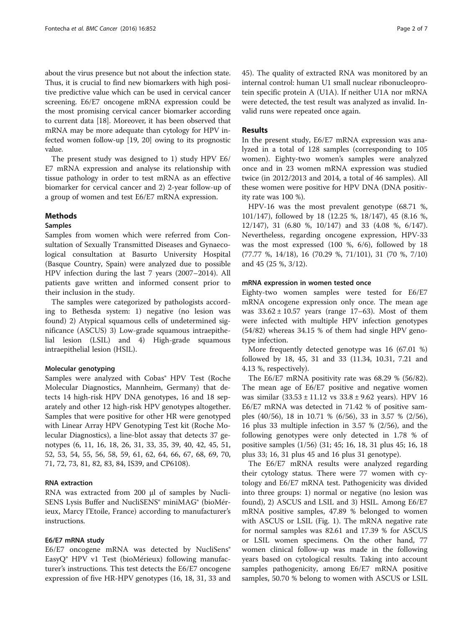about the virus presence but not about the infection state. Thus, it is crucial to find new biomarkers with high positive predictive value which can be used in cervical cancer screening. E6/E7 oncogene mRNA expression could be the most promising cervical cancer biomarker according to current data [[18](#page-6-0)]. Moreover, it has been observed that mRNA may be more adequate than cytology for HPV infected women follow-up [\[19, 20](#page-6-0)] owing to its prognostic value.

The present study was designed to 1) study HPV E6/ E7 mRNA expression and analyse its relationship with tissue pathology in order to test mRNA as an effective biomarker for cervical cancer and 2) 2-year follow-up of a group of women and test E6/E7 mRNA expression.

#### Methods

#### Samples

Samples from women which were referred from Consultation of Sexually Transmitted Diseases and Gynaecological consultation at Basurto University Hospital (Basque Country, Spain) were analyzed due to possible HPV infection during the last 7 years (2007–2014). All patients gave written and informed consent prior to their inclusion in the study.

The samples were categorized by pathologists according to Bethesda system: 1) negative (no lesion was found) 2) Atypical squamous cells of undetermined significance (ASCUS) 3) Low-grade squamous intraepithelial lesion (LSIL) and 4) High-grade squamous intraepithelial lesion (HSIL).

#### Molecular genotyping

Samples were analyzed with Cobas® HPV Test (Roche Molecular Diagnostics, Mannheim, Germany) that detects 14 high-risk HPV DNA genotypes, 16 and 18 separately and other 12 high-risk HPV genotypes altogether. Samples that were positive for other HR were genotyped with Linear Array HPV Genotyping Test kit (Roche Molecular Diagnostics), a line-blot assay that detects 37 genotypes (6, 11, 16, 18, 26, 31, 33, 35, 39, 40, 42, 45, 51, 52, 53, 54, 55, 56, 58, 59, 61, 62, 64, 66, 67, 68, 69, 70, 71, 72, 73, 81, 82, 83, 84, IS39, and CP6108).

#### RNA extraction

RNA was extracted from 200 μl of samples by Nucli-SENS Lysis Buffer and NucliSENS® miniMAG® (bioMérieux, Marcy l'Etoile, France) according to manufacturer's instructions.

#### E6/E7 mRNA study

E6/E7 oncogene mRNA was detected by NucliSens® EasyQ® HPV v1 Test (bioMérieux) following manufacturer's instructions. This test detects the E6/E7 oncogene expression of five HR-HPV genotypes (16, 18, 31, 33 and 45). The quality of extracted RNA was monitored by an internal control: human U1 small nuclear ribonucleoprotein specific protein A (U1A). If neither U1A nor mRNA were detected, the test result was analyzed as invalid. Invalid runs were repeated once again.

#### Results

In the present study, E6/E7 mRNA expression was analyzed in a total of 128 samples (corresponding to 105 women). Eighty-two women's samples were analyzed once and in 23 women mRNA expression was studied twice (in 2012/2013 and 2014, a total of 46 samples). All these women were positive for HPV DNA (DNA positivity rate was 100 %).

HPV-16 was the most prevalent genotype (68.71 %, 101/147), followed by 18 (12.25 %, 18/147), 45 (8.16 %, 12/147), 31 (6.80 %, 10/147) and 33 (4.08 %, 6/147). Nevertheless, regarding oncogene expression, HPV-33 was the most expressed (100 %, 6/6), followed by 18 (77.77 %, 14/18), 16 (70.29 %, 71/101), 31 (70 %, 7/10) and 45 (25 %, 3/12).

#### mRNA expression in women tested once

Eighty-two women samples were tested for E6/E7 mRNA oncogene expression only once. The mean age was  $33.62 \pm 10.57$  years (range 17–63). Most of them were infected with multiple HPV infection genotypes (54/82) whereas 34.15 % of them had single HPV genotype infection.

More frequently detected genotype was 16 (67.01 %) followed by 18, 45, 31 and 33 (11.34, 10.31, 7.21 and 4.13 %, respectively).

The E6/E7 mRNA positivity rate was 68.29 % (56/82). The mean age of E6/E7 positive and negative women was similar  $(33.53 \pm 11.12 \text{ vs } 33.8 \pm 9.62 \text{ years})$ . HPV 16 E6/E7 mRNA was detected in 71.42 % of positive samples (40/56), 18 in 10.71 % (6/56), 33 in 3.57 % (2/56), 16 plus 33 multiple infection in 3.57 % (2/56), and the following genotypes were only detected in 1.78 % of positive samples (1/56) (31; 45; 16, 18, 31 plus 45; 16, 18 plus 33; 16, 31 plus 45 and 16 plus 31 genotype).

The E6/E7 mRNA results were analyzed regarding their cytology status. There were 77 women with cytology and E6/E7 mRNA test. Pathogenicity was divided into three groups: 1) normal or negative (no lesion was found), 2) ASCUS and LSIL and 3) HSIL. Among E6/E7 mRNA positive samples, 47.89 % belonged to women with ASCUS or LSIL (Fig. [1\)](#page-2-0). The mRNA negative rate for normal samples was 82.61 and 17.39 % for ASCUS or LSIL women specimens. On the other hand, 77 women clinical follow-up was made in the following years based on cytological results. Taking into account samples pathogenicity, among E6/E7 mRNA positive samples, 50.70 % belong to women with ASCUS or LSIL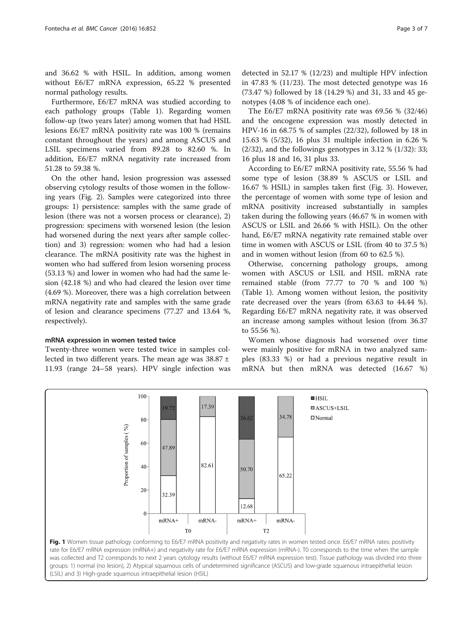<span id="page-2-0"></span>and 36.62 % with HSIL. In addition, among women without E6/E7 mRNA expression, 65.22 % presented normal pathology results.

Furthermore, E6/E7 mRNA was studied according to each pathology groups (Table [1\)](#page-3-0). Regarding women follow-up (two years later) among women that had HSIL lesions E6/E7 mRNA positivity rate was 100 % (remains constant throughout the years) and among ASCUS and LSIL specimens varied from 89.28 to 82.60 %. In addition, E6/E7 mRNA negativity rate increased from 51.28 to 59.38 %.

On the other hand, lesion progression was assessed observing cytology results of those women in the following years (Fig. [2](#page-3-0)). Samples were categorized into three groups: 1) persistence: samples with the same grade of lesion (there was not a worsen process or clearance), 2) progression: specimens with worsened lesion (the lesion had worsened during the next years after sample collection) and 3) regression: women who had had a lesion clearance. The mRNA positivity rate was the highest in women who had suffered from lesion worsening process (53.13 %) and lower in women who had had the same lesion (42.18 %) and who had cleared the lesion over time (4.69 %). Moreover, there was a high correlation between mRNA negativity rate and samples with the same grade of lesion and clearance specimens (77.27 and 13.64 %, respectively).

#### mRNA expression in women tested twice

Twenty-three women were tested twice in samples collected in two different years. The mean age was 38.87 ± 11.93 (range 24–58 years). HPV single infection was

detected in 52.17 % (12/23) and multiple HPV infection in 47.83 % (11/23). The most detected genotype was 16 (73.47 %) followed by 18 (14.29 %) and 31, 33 and 45 genotypes (4.08 % of incidence each one).

The E6/E7 mRNA positivity rate was 69.56 % (32/46) and the oncogene expression was mostly detected in HPV-16 in 68.75 % of samples (22/32), followed by 18 in 15.63 % (5/32), 16 plus 31 multiple infection in 6.26 %  $(2/32)$ , and the followings genotypes in 3.12 %  $(1/32)$ : 33; 16 plus 18 and 16, 31 plus 33.

According to E6/E7 mRNA positivity rate, 55.56 % had some type of lesion (38.89 % ASCUS or LSIL and 16.67 % HSIL) in samples taken first (Fig. [3](#page-4-0)). However, the percentage of women with some type of lesion and mRNA positivity increased substantially in samples taken during the following years (46.67 % in women with ASCUS or LSIL and 26.66 % with HSIL). On the other hand, E6/E7 mRNA negativity rate remained stable over time in women with ASCUS or LSIL (from 40 to 37.5 %) and in women without lesion (from 60 to 62.5 %).

Otherwise, concerning pathology groups, among women with ASCUS or LSIL and HSIL mRNA rate remained stable (from 77.77 to 70 % and 100 %) (Table [1](#page-3-0)). Among women without lesion, the positivity rate decreased over the years (from 63.63 to 44.44 %). Regarding E6/E7 mRNA negativity rate, it was observed an increase among samples without lesion (from 36.37 to 55.56 %).

Women whose diagnosis had worsened over time were mainly positive for mRNA in two analyzed samples (83.33 %) or had a previous negative result in mRNA but then mRNA was detected (16.67 %)



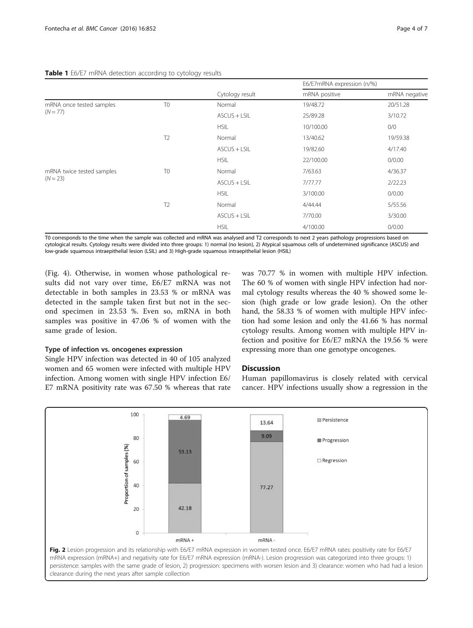#### <span id="page-3-0"></span>Table 1 E6/E7 mRNA detection according to cytology results

|                                         |                | Cytology result | E6/E7mRNA expression (n/%) |               |
|-----------------------------------------|----------------|-----------------|----------------------------|---------------|
|                                         |                |                 | mRNA positive              | mRNA negative |
| mRNA once tested samples<br>$(N = 77)$  | T <sub>0</sub> | Normal          | 19/48.72                   | 20/51.28      |
|                                         |                | $ASCUS + LSIL$  | 25/89.28                   | 3/10.72       |
|                                         |                | <b>HSIL</b>     | 10/100.00                  | 0/0           |
|                                         | T <sub>2</sub> | Normal          | 13/40.62                   | 19/59.38      |
|                                         |                | ASCUS + LSIL    | 19/82.60                   | 4/17.40       |
|                                         |                | <b>HSIL</b>     | 22/100.00                  | 0/0.00        |
| mRNA twice tested samples<br>$(N = 23)$ | T <sub>0</sub> | Normal          | 7/63.63                    | 4/36.37       |
|                                         |                | ASCUS + LSIL    | 7/77.77                    | 2/22.23       |
|                                         |                | <b>HSIL</b>     | 3/100.00                   | 0/0.00        |
|                                         | T <sub>2</sub> | Normal          | 4/44.44                    | 5/55.56       |
|                                         |                | ASCUS + LSIL    | 7/70.00                    | 3/30.00       |
|                                         |                | <b>HSIL</b>     | 4/100.00                   | 0/0.00        |

T0 corresponds to the time when the sample was collected and mRNA was analysed and T2 corresponds to next 2 years pathology progressions based on cytological results. Cytology results were divided into three groups: 1) normal (no lesion), 2) Atypical squamous cells of undetermined significance (ASCUS) and low-grade squamous intraepithelial lesion (LSIL) and 3) High-grade squamous intraepithelial lesion (HSIL)

(Fig. [4\)](#page-4-0). Otherwise, in women whose pathological results did not vary over time, E6/E7 mRNA was not detectable in both samples in 23.53 % or mRNA was detected in the sample taken first but not in the second specimen in 23.53 %. Even so, mRNA in both samples was positive in 47.06 % of women with the same grade of lesion.

#### Type of infection vs. oncogenes expression

Single HPV infection was detected in 40 of 105 analyzed women and 65 women were infected with multiple HPV infection. Among women with single HPV infection E6/ E7 mRNA positivity rate was 67.50 % whereas that rate was 70.77 % in women with multiple HPV infection. The 60 % of women with single HPV infection had normal cytology results whereas the 40 % showed some lesion (high grade or low grade lesion). On the other hand, the 58.33 % of women with multiple HPV infection had some lesion and only the 41.66 % has normal cytology results. Among women with multiple HPV infection and positive for E6/E7 mRNA the 19.56 % were expressing more than one genotype oncogenes.

#### **Discussion**

Human papillomavirus is closely related with cervical cancer. HPV infections usually show a regression in the



clearance during the next years after sample collection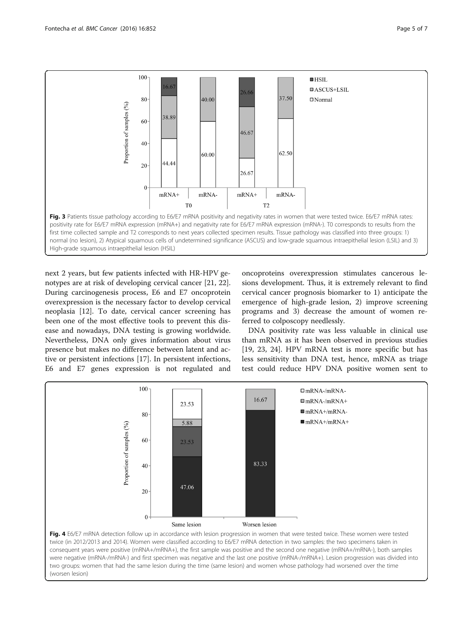<span id="page-4-0"></span>

next 2 years, but few patients infected with HR-HPV genotypes are at risk of developing cervical cancer [\[21](#page-6-0), [22](#page-6-0)]. During carcinogenesis process, E6 and E7 oncoprotein overexpression is the necessary factor to develop cervical neoplasia [[12\]](#page-6-0). To date, cervical cancer screening has been one of the most effective tools to prevent this disease and nowadays, DNA testing is growing worldwide. Nevertheless, DNA only gives information about virus presence but makes no difference between latent and active or persistent infections [\[17](#page-6-0)]. In persistent infections, E6 and E7 genes expression is not regulated and

oncoproteins overexpression stimulates cancerous lesions development. Thus, it is extremely relevant to find cervical cancer prognosis biomarker to 1) anticipate the emergence of high-grade lesion, 2) improve screening programs and 3) decrease the amount of women referred to colposcopy needlessly.

DNA positivity rate was less valuable in clinical use than mRNA as it has been observed in previous studies [[19, 23](#page-6-0), [24](#page-6-0)]. HPV mRNA test is more specific but has less sensitivity than DNA test, hence, mRNA as triage test could reduce HPV DNA positive women sent to



consequent years were positive (mRNA+/mRNA+), the first sample was positive and the second one negative (mRNA+/mRNA-), both samples were negative (mRNA-/mRNA-) and first specimen was negative and the last one positive (mRNA-/mRNA+). Lesion progression was divided into two groups: women that had the same lesion during the time (same lesion) and women whose pathology had worsened over the time (worsen lesion)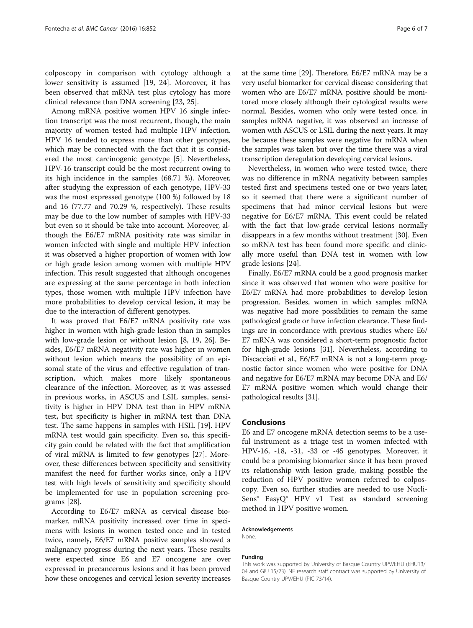colposcopy in comparison with cytology although a lower sensitivity is assumed [\[19](#page-6-0), [24](#page-6-0)]. Moreover, it has been observed that mRNA test plus cytology has more clinical relevance than DNA screening [\[23](#page-6-0), [25](#page-6-0)].

Among mRNA positive women HPV 16 single infection transcript was the most recurrent, though, the main majority of women tested had multiple HPV infection. HPV 16 tended to express more than other genotypes, which may be connected with the fact that it is considered the most carcinogenic genotype [\[5](#page-6-0)]. Nevertheless, HPV-16 transcript could be the most recurrent owing to its high incidence in the samples (68.71 %). Moreover, after studying the expression of each genotype, HPV-33 was the most expressed genotype (100 %) followed by 18 and 16 (77.77 and 70.29 %, respectively). These results may be due to the low number of samples with HPV-33 but even so it should be take into account. Moreover, although the E6/E7 mRNA positivity rate was similar in women infected with single and multiple HPV infection it was observed a higher proportion of women with low or high grade lesion among women with multiple HPV infection. This result suggested that although oncogenes are expressing at the same percentage in both infection types, those women with multiple HPV infection have more probabilities to develop cervical lesion, it may be due to the interaction of different genotypes.

It was proved that E6/E7 mRNA positivity rate was higher in women with high-grade lesion than in samples with low-grade lesion or without lesion [\[8](#page-6-0), [19](#page-6-0), [26](#page-6-0)]. Besides, E6/E7 mRNA negativity rate was higher in women without lesion which means the possibility of an episomal state of the virus and effective regulation of transcription, which makes more likely spontaneous clearance of the infection. Moreover, as it was assessed in previous works, in ASCUS and LSIL samples, sensitivity is higher in HPV DNA test than in HPV mRNA test, but specificity is higher in mRNA test than DNA test. The same happens in samples with HSIL [\[19](#page-6-0)]. HPV mRNA test would gain specificity. Even so, this specificity gain could be related with the fact that amplification of viral mRNA is limited to few genotypes [\[27](#page-6-0)]. Moreover, these differences between specificity and sensitivity manifest the need for further works since, only a HPV test with high levels of sensitivity and specificity should be implemented for use in population screening programs [[28](#page-6-0)].

According to E6/E7 mRNA as cervical disease biomarker, mRNA positivity increased over time in specimens with lesions in women tested once and in tested twice, namely, E6/E7 mRNA positive samples showed a malignancy progress during the next years. These results were expected since E6 and E7 oncogene are over expressed in precancerous lesions and it has been proved how these oncogenes and cervical lesion severity increases at the same time [[29](#page-6-0)]. Therefore, E6/E7 mRNA may be a very useful biomarker for cervical disease considering that women who are E6/E7 mRNA positive should be monitored more closely although their cytological results were normal. Besides, women who only were tested once, in samples mRNA negative, it was observed an increase of women with ASCUS or LSIL during the next years. It may be because these samples were negative for mRNA when the samples was taken but over the time there was a viral transcription deregulation developing cervical lesions.

Nevertheless, in women who were tested twice, there was no difference in mRNA negativity between samples tested first and specimens tested one or two years later, so it seemed that there were a significant number of specimens that had minor cervical lesions but were negative for E6/E7 mRNA. This event could be related with the fact that low-grade cervical lesions normally disappears in a few months without treatment [[30\]](#page-6-0). Even so mRNA test has been found more specific and clinically more useful than DNA test in women with low grade lesions [[24\]](#page-6-0).

Finally, E6/E7 mRNA could be a good prognosis marker since it was observed that women who were positive for E6/E7 mRNA had more probabilities to develop lesion progression. Besides, women in which samples mRNA was negative had more possibilities to remain the same pathological grade or have infection clearance. These findings are in concordance with previous studies where E6/ E7 mRNA was considered a short-term prognostic factor for high-grade lesions [\[31\]](#page-6-0). Nevertheless, according to Discacciati et al., E6/E7 mRNA is not a long-term prognostic factor since women who were positive for DNA and negative for E6/E7 mRNA may become DNA and E6/ E7 mRNA positive women which would change their pathological results [[31](#page-6-0)].

#### Conclusions

E6 and E7 oncogene mRNA detection seems to be a useful instrument as a triage test in women infected with HPV-16, -18, -31, -33 or -45 genotypes. Moreover, it could be a promising biomarker since it has been proved its relationship with lesion grade, making possible the reduction of HPV positive women referred to colposcopy. Even so, further studies are needed to use Nucli-Sens® EasyQ® HPV v1 Test as standard screening method in HPV positive women.

#### Acknowledgements

None.

#### Funding

This work was supported by University of Basque Country UPV/EHU (EHU13/ 04 and GIU 15/23). NF research staff contract was supported by University of Basque Country UPV/EHU (PIC 73/14).